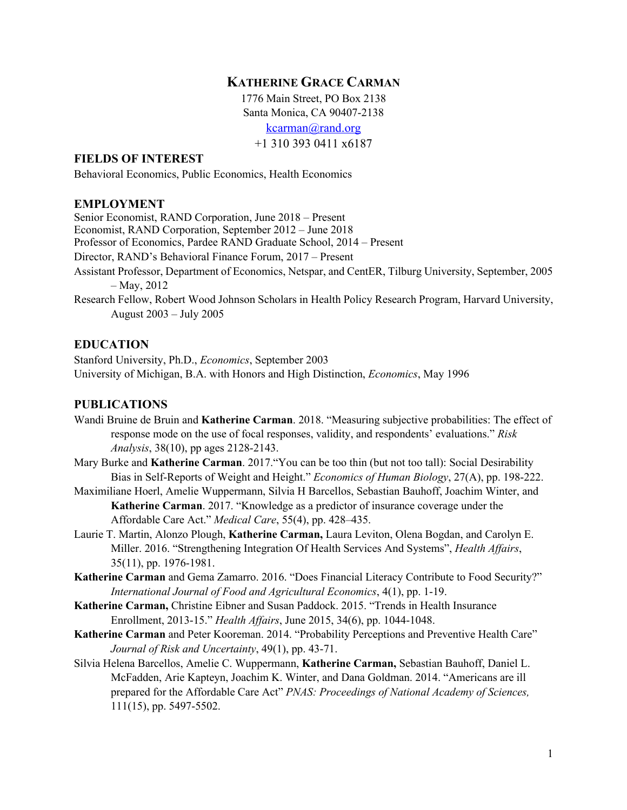# **KATHERINE GRACE CARMAN**

1776 Main Street, PO Box 2138 Santa Monica, CA 90407-2138 kcarman@rand.org +1 310 393 0411 x6187

#### **FIELDS OF INTEREST**

Behavioral Economics, Public Economics, Health Economics

#### **EMPLOYMENT**

Senior Economist, RAND Corporation, June 2018 – Present Economist, RAND Corporation, September 2012 – June 2018 Professor of Economics, Pardee RAND Graduate School, 2014 – Present Director, RAND's Behavioral Finance Forum, 2017 – Present Assistant Professor, Department of Economics, Netspar, and CentER, Tilburg University, September, 2005 – May, 2012 Research Fellow, Robert Wood Johnson Scholars in Health Policy Research Program, Harvard University, August 2003 – July 2005

## **EDUCATION**

Stanford University, Ph.D., *Economics*, September 2003 University of Michigan, B.A. with Honors and High Distinction, *Economics*, May 1996

# **PUBLICATIONS**

- Wandi Bruine de Bruin and **Katherine Carman**. 2018. "Measuring subjective probabilities: The effect of response mode on the use of focal responses, validity, and respondents' evaluations." *Risk Analysis*, 38(10), pp ages 2128-2143.
- Mary Burke and **Katherine Carman**. 2017."You can be too thin (but not too tall): Social Desirability Bias in Self-Reports of Weight and Height." *Economics of Human Biology*, 27(A), pp. 198-222.
- Maximiliane Hoerl, Amelie Wuppermann, Silvia H Barcellos, Sebastian Bauhoff, Joachim Winter, and **Katherine Carman**. 2017. "Knowledge as a predictor of insurance coverage under the Affordable Care Act." *Medical Care*, 55(4), pp. 428–435.
- Laurie T. Martin, Alonzo Plough, **Katherine Carman,** Laura Leviton, Olena Bogdan, and Carolyn E. Miller. 2016. "Strengthening Integration Of Health Services And Systems", *Health Affairs*, 35(11), pp. 1976-1981.
- **Katherine Carman** and Gema Zamarro. 2016. "Does Financial Literacy Contribute to Food Security?" *International Journal of Food and Agricultural Economics*, 4(1), pp. 1-19.
- **Katherine Carman,** Christine Eibner and Susan Paddock. 2015. "Trends in Health Insurance Enrollment, 2013-15." *Health Affairs*, June 2015, 34(6), pp. 1044-1048.
- **Katherine Carman** and Peter Kooreman. 2014. "Probability Perceptions and Preventive Health Care" *Journal of Risk and Uncertainty*, 49(1), pp. 43-71.
- Silvia Helena Barcellos, Amelie C. Wuppermann, **Katherine Carman,** Sebastian Bauhoff, Daniel L. McFadden, Arie Kapteyn, Joachim K. Winter, and Dana Goldman. 2014. "Americans are ill prepared for the Affordable Care Act" *PNAS: Proceedings of National Academy of Sciences,*  111(15), pp. 5497-5502.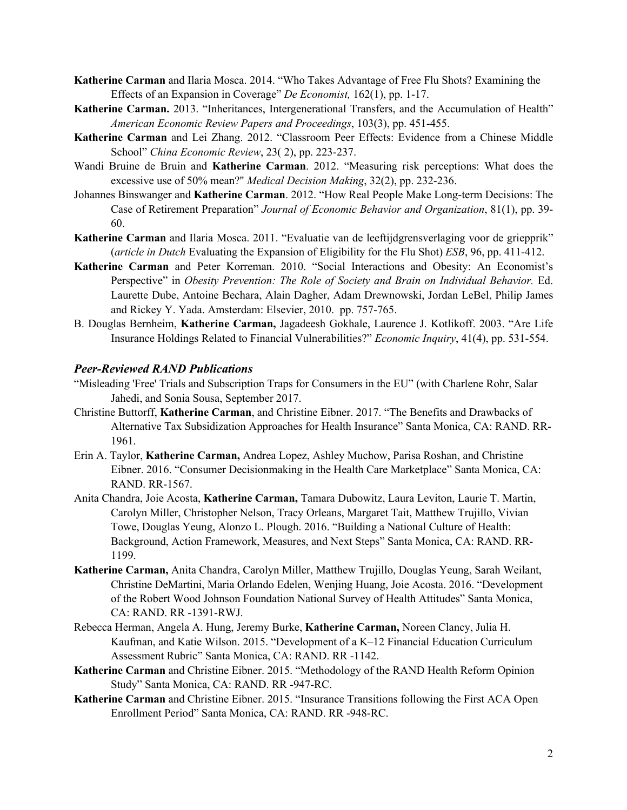- **Katherine Carman** and Ilaria Mosca. 2014. "Who Takes Advantage of Free Flu Shots? Examining the Effects of an Expansion in Coverage" *De Economist,* 162(1), pp. 1-17.
- **Katherine Carman.** 2013. "Inheritances, Intergenerational Transfers, and the Accumulation of Health" *American Economic Review Papers and Proceedings*, 103(3), pp. 451-455.
- **Katherine Carman** and Lei Zhang. 2012. "Classroom Peer Effects: Evidence from a Chinese Middle School" *China Economic Review*, 23( 2), pp. 223-237.
- Wandi Bruine de Bruin and **Katherine Carman**. 2012. "Measuring risk perceptions: What does the excessive use of 50% mean?" *Medical Decision Making*, 32(2), pp. 232-236.
- Johannes Binswanger and **Katherine Carman**. 2012. "How Real People Make Long-term Decisions: The Case of Retirement Preparation" *Journal of Economic Behavior and Organization*, 81(1), pp. 39- 60.
- **Katherine Carman** and Ilaria Mosca. 2011. "Evaluatie van de leeftijdgrensverlaging voor de griepprik" (*article in Dutch* Evaluating the Expansion of Eligibility for the Flu Shot) *ESB*, 96, pp. 411-412.
- **Katherine Carman** and Peter Korreman. 2010. "Social Interactions and Obesity: An Economist's Perspective" in *Obesity Prevention: The Role of Society and Brain on Individual Behavior.* Ed. Laurette Dube, Antoine Bechara, Alain Dagher, Adam Drewnowski, Jordan LeBel, Philip James and Rickey Y. Yada. Amsterdam: Elsevier, 2010. pp. 757-765.
- B. Douglas Bernheim, **Katherine Carman,** Jagadeesh Gokhale, Laurence J. Kotlikoff. 2003. "Are Life Insurance Holdings Related to Financial Vulnerabilities?" *Economic Inquiry*, 41(4), pp. 531-554.

#### *Peer-Reviewed RAND Publications*

- "Misleading 'Free' Trials and Subscription Traps for Consumers in the EU" (with Charlene Rohr, Salar Jahedi, and Sonia Sousa, September 2017.
- Christine Buttorff, **Katherine Carman**, and Christine Eibner. 2017. "The Benefits and Drawbacks of Alternative Tax Subsidization Approaches for Health Insurance" Santa Monica, CA: RAND. RR-1961.
- Erin A. Taylor, **Katherine Carman,** Andrea Lopez, Ashley Muchow, Parisa Roshan, and Christine Eibner. 2016. "Consumer Decisionmaking in the Health Care Marketplace" Santa Monica, CA: RAND. RR-1567.
- Anita Chandra, Joie Acosta, **Katherine Carman,** Tamara Dubowitz, Laura Leviton, Laurie T. Martin, Carolyn Miller, Christopher Nelson, Tracy Orleans, Margaret Tait, Matthew Trujillo, Vivian Towe, Douglas Yeung, Alonzo L. Plough. 2016. "Building a National Culture of Health: Background, Action Framework, Measures, and Next Steps" Santa Monica, CA: RAND. RR-1199.
- **Katherine Carman,** Anita Chandra, Carolyn Miller, Matthew Trujillo, Douglas Yeung, Sarah Weilant, Christine DeMartini, Maria Orlando Edelen, Wenjing Huang, Joie Acosta. 2016. "Development of the Robert Wood Johnson Foundation National Survey of Health Attitudes" Santa Monica, CA: RAND. RR -1391-RWJ.
- Rebecca Herman, Angela A. Hung, Jeremy Burke, **Katherine Carman,** Noreen Clancy, Julia H. Kaufman, and Katie Wilson. 2015. "Development of a K–12 Financial Education Curriculum Assessment Rubric" Santa Monica, CA: RAND. RR -1142.
- **Katherine Carman** and Christine Eibner. 2015. "Methodology of the RAND Health Reform Opinion Study" Santa Monica, CA: RAND. RR -947-RC.
- **Katherine Carman** and Christine Eibner. 2015. "Insurance Transitions following the First ACA Open Enrollment Period" Santa Monica, CA: RAND. RR -948-RC.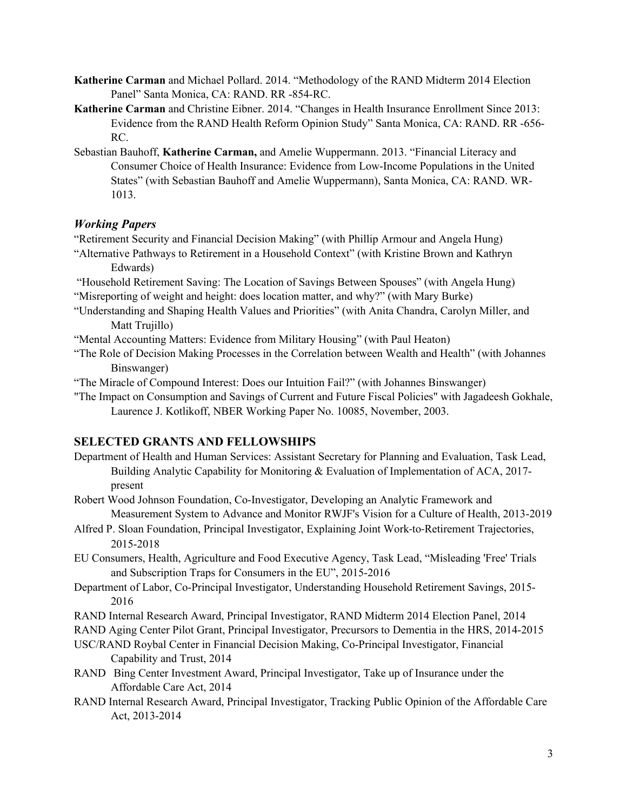- **Katherine Carman** and Michael Pollard. 2014. "Methodology of the RAND Midterm 2014 Election Panel" Santa Monica, CA: RAND. RR -854-RC.
- **Katherine Carman** and Christine Eibner. 2014. "Changes in Health Insurance Enrollment Since 2013: Evidence from the RAND Health Reform Opinion Study" Santa Monica, CA: RAND. RR -656- RC.
- Sebastian Bauhoff, **Katherine Carman,** and Amelie Wuppermann. 2013. "Financial Literacy and Consumer Choice of Health Insurance: Evidence from Low-Income Populations in the United States" (with Sebastian Bauhoff and Amelie Wuppermann), Santa Monica, CA: RAND. WR-1013.

## *Working Papers*

"Retirement Security and Financial Decision Making" (with Phillip Armour and Angela Hung)

- "Alternative Pathways to Retirement in a Household Context" (with Kristine Brown and Kathryn Edwards)
- "Household Retirement Saving: The Location of Savings Between Spouses" (with Angela Hung) "Misreporting of weight and height: does location matter, and why?" (with Mary Burke)
- "Understanding and Shaping Health Values and Priorities" (with Anita Chandra, Carolyn Miller, and Matt Trujillo)
- "Mental Accounting Matters: Evidence from Military Housing" (with Paul Heaton)
- "The Role of Decision Making Processes in the Correlation between Wealth and Health" (with Johannes Binswanger)
- "The Miracle of Compound Interest: Does our Intuition Fail?" (with Johannes Binswanger)
- "The Impact on Consumption and Savings of Current and Future Fiscal Policies" with Jagadeesh Gokhale, Laurence J. Kotlikoff, NBER Working Paper No. 10085, November, 2003.

## **SELECTED GRANTS AND FELLOWSHIPS**

- Department of Health and Human Services: Assistant Secretary for Planning and Evaluation, Task Lead, Building Analytic Capability for Monitoring & Evaluation of Implementation of ACA, 2017 present
- Robert Wood Johnson Foundation, Co-Investigator, Developing an Analytic Framework and Measurement System to Advance and Monitor RWJF's Vision for a Culture of Health, 2013-2019
- Alfred P. Sloan Foundation, Principal Investigator, Explaining Joint Work-to-Retirement Trajectories, 2015-2018
- EU Consumers, Health, Agriculture and Food Executive Agency, Task Lead, "Misleading 'Free' Trials and Subscription Traps for Consumers in the EU", 2015-2016
- Department of Labor, Co-Principal Investigator, Understanding Household Retirement Savings, 2015- 2016
- RAND Internal Research Award, Principal Investigator, RAND Midterm 2014 Election Panel, 2014
- RAND Aging Center Pilot Grant, Principal Investigator, Precursors to Dementia in the HRS, 2014-2015
- USC/RAND Roybal Center in Financial Decision Making, Co-Principal Investigator, Financial Capability and Trust, 2014
- RAND Bing Center Investment Award, Principal Investigator, Take up of Insurance under the Affordable Care Act, 2014
- RAND Internal Research Award, Principal Investigator, Tracking Public Opinion of the Affordable Care Act, 2013-2014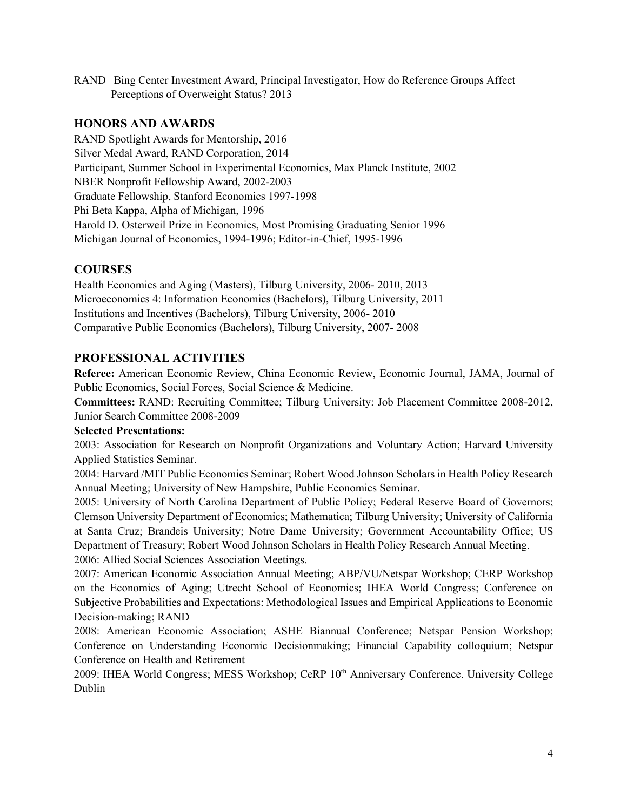RAND Bing Center Investment Award, Principal Investigator, How do Reference Groups Affect Perceptions of Overweight Status? 2013

## **HONORS AND AWARDS**

RAND Spotlight Awards for Mentorship, 2016 Silver Medal Award, RAND Corporation, 2014 Participant, Summer School in Experimental Economics, Max Planck Institute, 2002 NBER Nonprofit Fellowship Award, 2002-2003 Graduate Fellowship, Stanford Economics 1997-1998 Phi Beta Kappa, Alpha of Michigan, 1996 Harold D. Osterweil Prize in Economics, Most Promising Graduating Senior 1996 Michigan Journal of Economics, 1994-1996; Editor-in-Chief, 1995-1996

## **COURSES**

Health Economics and Aging (Masters), Tilburg University, 2006- 2010, 2013 Microeconomics 4: Information Economics (Bachelors), Tilburg University, 2011 Institutions and Incentives (Bachelors), Tilburg University, 2006- 2010 Comparative Public Economics (Bachelors), Tilburg University, 2007- 2008

## **PROFESSIONAL ACTIVITIES**

**Referee:** American Economic Review, China Economic Review, Economic Journal, JAMA, Journal of Public Economics, Social Forces, Social Science & Medicine.

**Committees:** RAND: Recruiting Committee; Tilburg University: Job Placement Committee 2008-2012, Junior Search Committee 2008-2009

#### **Selected Presentations:**

2003: Association for Research on Nonprofit Organizations and Voluntary Action; Harvard University Applied Statistics Seminar.

2004: Harvard /MIT Public Economics Seminar; Robert Wood Johnson Scholars in Health Policy Research Annual Meeting; University of New Hampshire, Public Economics Seminar.

2005: University of North Carolina Department of Public Policy; Federal Reserve Board of Governors; Clemson University Department of Economics; Mathematica; Tilburg University; University of California at Santa Cruz; Brandeis University; Notre Dame University; Government Accountability Office; US Department of Treasury; Robert Wood Johnson Scholars in Health Policy Research Annual Meeting. 2006: Allied Social Sciences Association Meetings.

2007: American Economic Association Annual Meeting; ABP/VU/Netspar Workshop; CERP Workshop on the Economics of Aging; Utrecht School of Economics; IHEA World Congress; Conference on Subjective Probabilities and Expectations: Methodological Issues and Empirical Applications to Economic Decision-making; RAND

2008: American Economic Association; ASHE Biannual Conference; Netspar Pension Workshop; Conference on Understanding Economic Decisionmaking; Financial Capability colloquium; Netspar Conference on Health and Retirement

2009: IHEA World Congress; MESS Workshop; CeRP 10<sup>th</sup> Anniversary Conference. University College Dublin